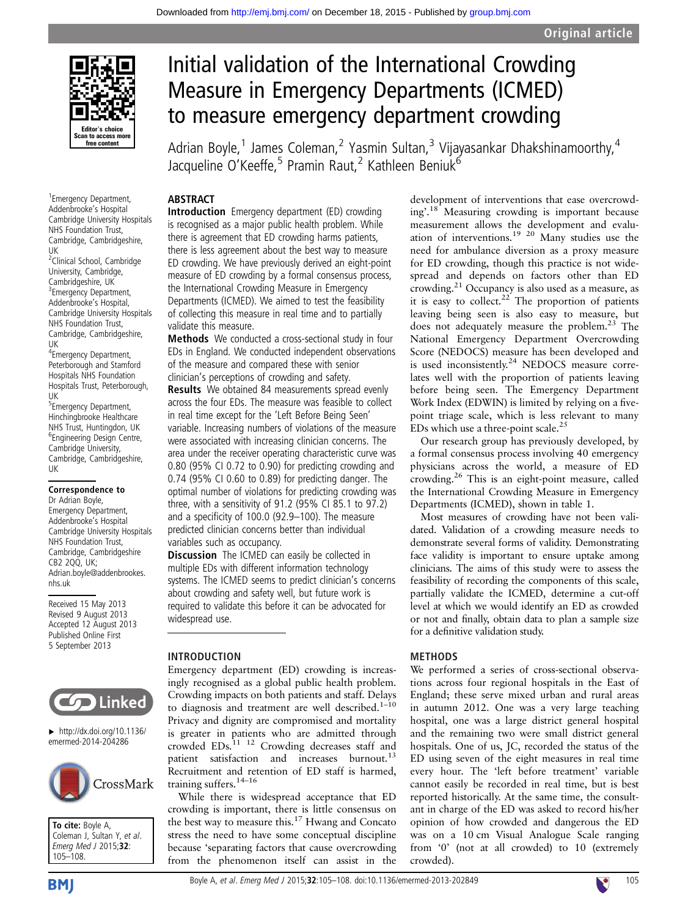

1 Emergency Department, Addenbrooke's Hospital Cambridge University Hospitals NHS Foundation Trust, Cambridge, Cambridgeshire, UK <sup>2</sup>Clinical School, Cambridge University, Cambridge, Cambridgeshire, UK <sup>3</sup> Emergency Department,

Addenbrooke's Hospital, Cambridge University Hospitals NHS Foundation Trust, Cambridge, Cambridgeshire, UK

4 Emergency Department, Peterborough and Stamford Hospitals NHS Foundation Hospitals Trust, Peterborough, UK

5 Emergency Department, Hinchingbrooke Healthcare NHS Trust, Huntingdon, UK 6 Engineering Design Centre, Cambridge University, Cambridge, Cambridgeshire, UK

#### Correspondence to

Dr Adrian Boyle, Emergency Department, Addenbrooke's Hospital Cambridge University Hospitals NHS Foundation Trust, Cambridge, Cambridgeshire CB2 2QQ, UK; Adrian.boyle@addenbrookes. nhs.uk

Received 15 May 2013 Revised 9 August 2013 Accepted 12 August 2013 Published Online First 5 September 2013



 $\blacktriangleright$  [http://dx.doi.org/10.1136/](http://dx.doi.org/10.1136/emermed-2014-204286) [emermed-2014-204286](http://dx.doi.org/10.1136/emermed-2014-204286)



To cite: Boyle A, Coleman J, Sultan Y, et al. Emerg Med J 2015;32: 105–108.

# Initial validation of the International Crowding Measure in Emergency Departments (ICMED) to measure emergency department crowding

Adrian Boyle,<sup>1</sup> James Coleman,<sup>2</sup> Yasmin Sultan,<sup>3</sup> Vijayasankar Dhakshinamoorthy,<sup>4</sup> Jacqueline O'Keeffe,<sup>5</sup> Pramin Raut,<sup>2</sup> Kathleen Beniuk<sup>6</sup>

## ABSTRACT

Introduction Emergency department (ED) crowding is recognised as a major public health problem. While there is agreement that ED crowding harms patients, there is less agreement about the best way to measure ED crowding. We have previously derived an eight-point measure of ED crowding by a formal consensus process, the International Crowding Measure in Emergency Departments (ICMED). We aimed to test the feasibility of collecting this measure in real time and to partially validate this measure.

Methods We conducted a cross-sectional study in four EDs in England. We conducted independent observations of the measure and compared these with senior clinician's perceptions of crowding and safety.

Results We obtained 84 measurements spread evenly across the four EDs. The measure was feasible to collect in real time except for the 'Left Before Being Seen' variable. Increasing numbers of violations of the measure were associated with increasing clinician concerns. The area under the receiver operating characteristic curve was 0.80 (95% CI 0.72 to 0.90) for predicting crowding and 0.74 (95% CI 0.60 to 0.89) for predicting danger. The optimal number of violations for predicting crowding was three, with a sensitivity of 91.2 (95% CI 85.1 to 97.2) and a specificity of 100.0 (92.9–100). The measure predicted clinician concerns better than individual variables such as occupancy.

Discussion The ICMED can easily be collected in multiple EDs with different information technology systems. The ICMED seems to predict clinician's concerns about crowding and safety well, but future work is required to validate this before it can be advocated for widespread use.

## INTRODUCTION

Emergency department (ED) crowding is increasingly recognised as a global public health problem. Crowding impacts on both patients and staff. Delays to diagnosis and treatment are well described. $1-10$ Privacy and dignity are compromised and mortality is greater in patients who are admitted through

crowded  $EDs$ .<sup>11</sup><sup>12</sup> Crowding decreases staff and patient satisfaction and increases burnout.<sup>13</sup> Recruitment and retention of ED staff is harmed, training suffers.14–<sup>16</sup>

While there is widespread acceptance that ED crowding is important, there is little consensus on the best way to measure this.17 Hwang and Concato stress the need to have some conceptual discipline because 'separating factors that cause overcrowding from the phenomenon itself can assist in the development of interventions that ease overcrowding'.<sup>18</sup> Measuring crowding is important because measurement allows the development and evaluation of interventions.<sup>19 20</sup> Many studies use the need for ambulance diversion as a proxy measure for ED crowding, though this practice is not widespread and depends on factors other than ED crowding.<sup>21</sup> Occupancy is also used as a measure, as it is easy to collect.<sup>22</sup> The proportion of patients leaving being seen is also easy to measure, but does not adequately measure the problem.<sup>23</sup> The National Emergency Department Overcrowding Score (NEDOCS) measure has been developed and is used inconsistently.<sup>24</sup> NEDOCS measure correlates well with the proportion of patients leaving before being seen. The Emergency Department Work Index (EDWIN) is limited by relying on a fivepoint triage scale, which is less relevant to many EDs which use a three-point scale.<sup>25</sup>

Our research group has previously developed, by a formal consensus process involving 40 emergency physicians across the world, a measure of ED crowding.<sup>26</sup> This is an eight-point measure, called the International Crowding Measure in Emergency Departments (ICMED), shown in table 1.

Most measures of crowding have not been validated. Validation of a crowding measure needs to demonstrate several forms of validity. Demonstrating face validity is important to ensure uptake among clinicians. The aims of this study were to assess the feasibility of recording the components of this scale, partially validate the ICMED, determine a cut-off level at which we would identify an ED as crowded or not and finally, obtain data to plan a sample size for a definitive validation study.

## METHODS

We performed a series of cross-sectional observations across four regional hospitals in the East of England; these serve mixed urban and rural areas in autumn 2012. One was a very large teaching hospital, one was a large district general hospital and the remaining two were small district general hospitals. One of us, JC, recorded the status of the ED using seven of the eight measures in real time every hour. The 'left before treatment' variable cannot easily be recorded in real time, but is best reported historically. At the same time, the consultant in charge of the ED was asked to record his/her opinion of how crowded and dangerous the ED was on a 10 cm Visual Analogue Scale ranging from '0' (not at all crowded) to 10 (extremely crowded).

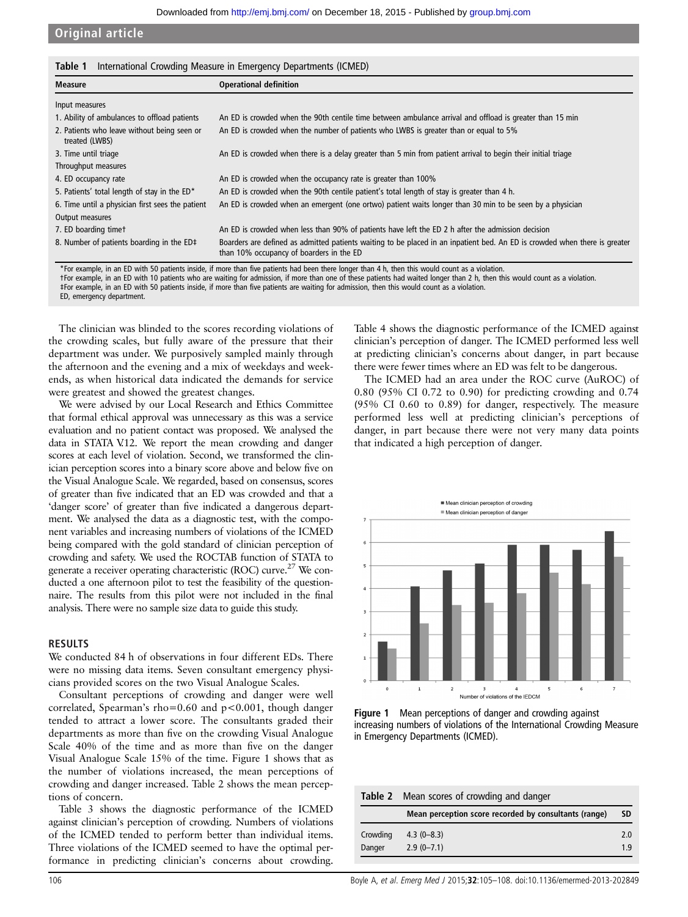Original article

| <b>Measure</b>                                                | <b>Operational definition</b>                                                                                                                                          |
|---------------------------------------------------------------|------------------------------------------------------------------------------------------------------------------------------------------------------------------------|
| Input measures                                                |                                                                                                                                                                        |
| 1. Ability of ambulances to offload patients                  | An ED is crowded when the 90th centile time between ambulance arrival and offload is greater than 15 min                                                               |
| 2. Patients who leave without being seen or<br>treated (LWBS) | An ED is crowded when the number of patients who LWBS is greater than or equal to 5%                                                                                   |
| 3. Time until triage                                          | An ED is crowded when there is a delay greater than 5 min from patient arrival to begin their initial triage                                                           |
| Throughput measures                                           |                                                                                                                                                                        |
| 4. ED occupancy rate                                          | An ED is crowded when the occupancy rate is greater than 100%                                                                                                          |
| 5. Patients' total length of stay in the ED*                  | An ED is crowded when the 90th centile patient's total length of stay is greater than 4 h.                                                                             |
| 6. Time until a physician first sees the patient              | An ED is crowded when an emergent (one ortwo) patient waits longer than 30 min to be seen by a physician                                                               |
| Output measures                                               |                                                                                                                                                                        |
| 7. ED boarding timet                                          | An ED is crowded when less than 90% of patients have left the ED 2 h after the admission decision                                                                      |
| 8. Number of patients boarding in the ED‡                     | Boarders are defined as admitted patients waiting to be placed in an inpatient bed. An ED is crowded when there is greater<br>than 10% occupancy of boarders in the ED |

\*For example, in an ED with 50 patients inside, if more than five patients had been there longer than 4 h, then this would count as a violation.<br>†For example, in an ED with 10 patients who are waiting for admission, if mor ‡For example, in an ED with 50 patients inside, if more than five patients are waiting for admission, then this would count as a violation. ED, emergency department.

The clinician was blinded to the scores recording violations of the crowding scales, but fully aware of the pressure that their department was under. We purposively sampled mainly through the afternoon and the evening and a mix of weekdays and weekends, as when historical data indicated the demands for service were greatest and showed the greatest changes.

We were advised by our Local Research and Ethics Committee that formal ethical approval was unnecessary as this was a service evaluation and no patient contact was proposed. We analysed the data in STATA V.12. We report the mean crowding and danger scores at each level of violation. Second, we transformed the clinician perception scores into a binary score above and below five on the Visual Analogue Scale. We regarded, based on consensus, scores of greater than five indicated that an ED was crowded and that a 'danger score' of greater than five indicated a dangerous department. We analysed the data as a diagnostic test, with the component variables and increasing numbers of violations of the ICMED being compared with the gold standard of clinician perception of crowding and safety. We used the ROCTAB function of STATA to generate a receiver operating characteristic (ROC) curve.<sup>27</sup> We conducted a one afternoon pilot to test the feasibility of the questionnaire. The results from this pilot were not included in the final analysis. There were no sample size data to guide this study.

## RESULTS

We conducted 84 h of observations in four different EDs. There were no missing data items. Seven consultant emergency physicians provided scores on the two Visual Analogue Scales.

Consultant perceptions of crowding and danger were well correlated, Spearman's rho=0.60 and p<0.001, though danger tended to attract a lower score. The consultants graded their departments as more than five on the crowding Visual Analogue Scale 40% of the time and as more than five on the danger Visual Analogue Scale 15% of the time. Figure 1 shows that as the number of violations increased, the mean perceptions of crowding and danger increased. Table 2 shows the mean perceptions of concern.

Table 3 shows the diagnostic performance of the ICMED against clinician's perception of crowding. Numbers of violations of the ICMED tended to perform better than individual items. Three violations of the ICMED seemed to have the optimal performance in predicting clinician's concerns about crowding.

Table 4 shows the diagnostic performance of the ICMED against clinician's perception of danger. The ICMED performed less well at predicting clinician's concerns about danger, in part because there were fewer times where an ED was felt to be dangerous.

The ICMED had an area under the ROC curve (AuROC) of 0.80 (95% CI 0.72 to 0.90) for predicting crowding and 0.74 (95% CI 0.60 to 0.89) for danger, respectively. The measure performed less well at predicting clinician's perceptions of danger, in part because there were not very many data points that indicated a high perception of danger.





|          | <b>Table 2</b> Mean scores of crowding and danger     |           |  |  |  |
|----------|-------------------------------------------------------|-----------|--|--|--|
|          | Mean perception score recorded by consultants (range) | <b>SD</b> |  |  |  |
| Crowding | $4.3(0-8.3)$                                          | 2.0       |  |  |  |
| Danger   | $2.9(0 - 7.1)$                                        | 1.9       |  |  |  |

106 Boyle A, et al. Emerg Med J 2015;32:105–108. doi:10.1136/emermed-2013-202849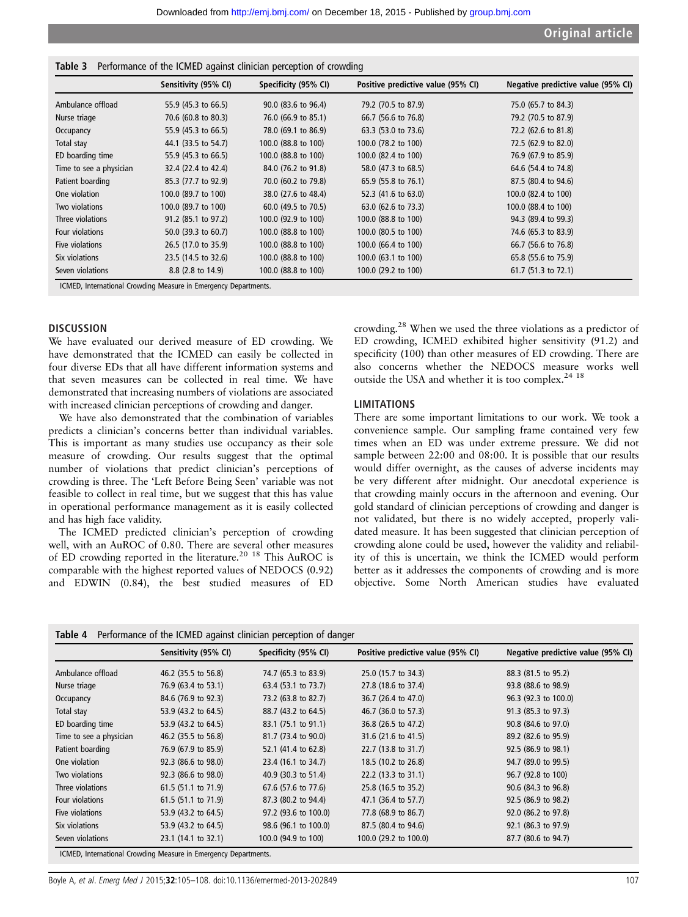|  |  |  | Table 3 Performance of the ICMED against clinician perception of crowding |  |  |
|--|--|--|---------------------------------------------------------------------------|--|--|
|--|--|--|---------------------------------------------------------------------------|--|--|

|                         | Sensitivity (95% CI) | Specificity (95% CI) | Positive predictive value (95% CI) | Negative predictive value (95% CI) |  |
|-------------------------|----------------------|----------------------|------------------------------------|------------------------------------|--|
| Ambulance offload       | 55.9 (45.3 to 66.5)  | 90.0 (83.6 to 96.4)  | 79.2 (70.5 to 87.9)                | 75.0 (65.7 to 84.3)                |  |
| Nurse triage            | 70.6 (60.8 to 80.3)  | 76.0 (66.9 to 85.1)  | 66.7 (56.6 to 76.8)                | 79.2 (70.5 to 87.9)                |  |
| Occupancy               | 55.9 (45.3 to 66.5)  | 78.0 (69.1 to 86.9)  | 63.3 (53.0 to 73.6)                | 72.2 (62.6 to 81.8)                |  |
| Total stay              | 44.1 (33.5 to 54.7)  | 100.0 (88.8 to 100)  | 100.0 (78.2 to 100)                | 72.5 (62.9 to 82.0)                |  |
| ED boarding time        | 55.9 (45.3 to 66.5)  | 100.0 (88.8 to 100)  | 100.0 (82.4 to 100)                | 76.9 (67.9 to 85.9)                |  |
| Time to see a physician | 32.4 (22.4 to 42.4)  | 84.0 (76.2 to 91.8)  | 58.0 (47.3 to 68.5)                | 64.6 (54.4 to 74.8)                |  |
| Patient boarding        | 85.3 (77.7 to 92.9)  | 70.0 (60.2 to 79.8)  | 65.9 (55.8 to 76.1)                | 87.5 (80.4 to 94.6)                |  |
| One violation           | 100.0 (89.7 to 100)  | 38.0 (27.6 to 48.4)  | 52.3 (41.6 to 63.0)                | 100.0 (82.4 to 100)                |  |
| Two violations          | 100.0 (89.7 to 100)  | 60.0 (49.5 to 70.5)  | 63.0 (62.6 to 73.3)                | 100.0 (88.4 to 100)                |  |
| Three violations        | 91.2 (85.1 to 97.2)  | 100.0 (92.9 to 100)  | 100.0 (88.8 to 100)                | 94.3 (89.4 to 99.3)                |  |
| Four violations         | 50.0 (39.3 to 60.7)  | 100.0 (88.8 to 100)  | 100.0 (80.5 to 100)                | 74.6 (65.3 to 83.9)                |  |
| Five violations         | 26.5 (17.0 to 35.9)  | 100.0 (88.8 to 100)  | 100.0 (66.4 to 100)                | 66.7 (56.6 to 76.8)                |  |
| Six violations          | 23.5 (14.5 to 32.6)  | 100.0 (88.8 to 100)  | 100.0 (63.1 to 100)                | 65.8 (55.6 to 75.9)                |  |
| Seven violations        | 8.8 (2.8 to 14.9)    | 100.0 (88.8 to 100)  | 100.0 (29.2 to 100)                | 61.7 (51.3 to 72.1)                |  |

ICMED, International Crowding Measure in Emergency Departments.

## **DISCUSSION**

We have evaluated our derived measure of ED crowding. We have demonstrated that the ICMED can easily be collected in four diverse EDs that all have different information systems and that seven measures can be collected in real time. We have demonstrated that increasing numbers of violations are associated with increased clinician perceptions of crowding and danger.

We have also demonstrated that the combination of variables predicts a clinician's concerns better than individual variables. This is important as many studies use occupancy as their sole measure of crowding. Our results suggest that the optimal number of violations that predict clinician's perceptions of crowding is three. The 'Left Before Being Seen' variable was not feasible to collect in real time, but we suggest that this has value in operational performance management as it is easily collected and has high face validity.

The ICMED predicted clinician's perception of crowding well, with an AuROC of 0.80. There are several other measures of ED crowding reported in the literature.<sup>20</sup> <sup>18</sup> This AuROC is comparable with the highest reported values of NEDOCS (0.92) and EDWIN (0.84), the best studied measures of ED

crowding.<sup>28</sup> When we used the three violations as a predictor of ED crowding, ICMED exhibited higher sensitivity (91.2) and specificity (100) than other measures of ED crowding. There are also concerns whether the NEDOCS measure works well outside the USA and whether it is too complex.<sup>24 18</sup>

#### LIMITATIONS

There are some important limitations to our work. We took a convenience sample. Our sampling frame contained very few times when an ED was under extreme pressure. We did not sample between 22:00 and 08:00. It is possible that our results would differ overnight, as the causes of adverse incidents may be very different after midnight. Our anecdotal experience is that crowding mainly occurs in the afternoon and evening. Our gold standard of clinician perceptions of crowding and danger is not validated, but there is no widely accepted, properly validated measure. It has been suggested that clinician perception of crowding alone could be used, however the validity and reliability of this is uncertain, we think the ICMED would perform better as it addresses the components of crowding and is more objective. Some North American studies have evaluated

|  | <b>Table 4</b> Performance of the ICMED against clinician perception of danger |  |  |  |  |  |  |
|--|--------------------------------------------------------------------------------|--|--|--|--|--|--|
|--|--------------------------------------------------------------------------------|--|--|--|--|--|--|

|                         | Sensitivity (95% CI)           | Specificity (95% CI) | Positive predictive value (95% CI) | Negative predictive value (95% CI) |
|-------------------------|--------------------------------|----------------------|------------------------------------|------------------------------------|
| Ambulance offload       | 46.2 (35.5 to 56.8)            | 74.7 (65.3 to 83.9)  | 25.0 (15.7 to 34.3)                | 88.3 (81.5 to 95.2)                |
| Nurse triage            | 76.9 (63.4 to 53.1)            | 63.4 (53.1 to 73.7)  | 27.8 (18.6 to 37.4)                | 93.8 (88.6 to 98.9)                |
| Occupancy               | 84.6 (76.9 to 92.3)            | 73.2 (63.8 to 82.7)  | 36.7 (26.4 to 47.0)                | 96.3 (92.3 to 100.0)               |
| Total stay              | 53.9 (43.2 to 64.5)            | 88.7 (43.2 to 64.5)  | 46.7 (36.0 to 57.3)                | 91.3 (85.3 to 97.3)                |
| ED boarding time        | 53.9 (43.2 to 64.5)            | 83.1 (75.1 to 91.1)  | 36.8 (26.5 to 47.2)                | 90.8 (84.6 to 97.0)                |
| Time to see a physician | 46.2 (35.5 to 56.8)            | 81.7 (73.4 to 90.0)  | 31.6 (21.6 to 41.5)                | 89.2 (82.6 to 95.9)                |
| Patient boarding        | 76.9 (67.9 to 85.9)            | 52.1 (41.4 to 62.8)  | 22.7 (13.8 to 31.7)                | 92.5 (86.9 to 98.1)                |
| One violation           | $92.3$ (86.6 to $98.0$ )       | 23.4 (16.1 to 34.7)  | 18.5 (10.2 to 26.8)                | 94.7 (89.0 to 99.5)                |
| Two violations          | 92.3 (86.6 to 98.0)            | 40.9 (30.3 to 51.4)  | 22.2 (13.3 to 31.1)                | 96.7 (92.8 to 100)                 |
| Three violations        | 61.5 (51.1 to 71.9)            | 67.6 (57.6 to 77.6)  | 25.8 (16.5 to 35.2)                | 90.6 (84.3 to 96.8)                |
| Four violations         | 61.5 $(51.1 \text{ to } 71.9)$ | 87.3 (80.2 to 94.4)  | 47.1 (36.4 to 57.7)                | 92.5 (86.9 to 98.2)                |
| Five violations         | 53.9 (43.2 to 64.5)            | 97.2 (93.6 to 100.0) | 77.8 (68.9 to 86.7)                | 92.0 (86.2 to 97.8)                |
| Six violations          | 53.9 (43.2 to 64.5)            | 98.6 (96.1 to 100.0) | 87.5 (80.4 to 94.6)                | 92.1 (86.3 to 97.9)                |
| Seven violations        | 23.1 (14.1 to 32.1)            | 100.0 (94.9 to 100)  | 100.0 (29.2 to 100.0)              | 87.7 (80.6 to 94.7)                |

ICMED, International Crowding Measure in Emergency Departments.